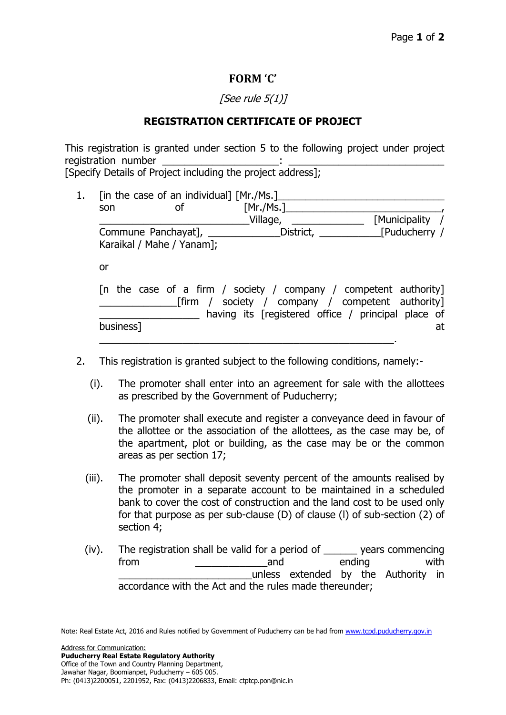## **FORM 'C'**

## [See rule  $5(1)$ ]

## **REGISTRATION CERTIFICATE OF PROJECT**

This registration is granted under section 5 to the following project under project registration number [Specify Details of Project including the project address];

1. [in the case of an individual]  $[Mr./Ms.]$ son of [Mr./Ms.] Village, The Communicipality / Commune Panchayat], \_\_\_\_\_\_\_\_\_\_\_\_\_District, \_\_\_\_\_\_\_\_\_\_\_[Puducherry / Karaikal / Mahe / Yanam];

or

|           |  |  |  |  |  | [n the case of a firm / society / company / competent authority] |  |    |
|-----------|--|--|--|--|--|------------------------------------------------------------------|--|----|
|           |  |  |  |  |  | [firm / society / company / competent authority]                 |  |    |
|           |  |  |  |  |  | having its [registered office / principal place of               |  |    |
| business] |  |  |  |  |  |                                                                  |  | at |
|           |  |  |  |  |  |                                                                  |  |    |

- 2. This registration is granted subject to the following conditions, namely:-
	- (i). The promoter shall enter into an agreement for sale with the allottees as prescribed by the Government of Puducherry;
	- (ii). The promoter shall execute and register a conveyance deed in favour of the allottee or the association of the allottees, as the case may be, of the apartment, plot or building, as the case may be or the common areas as per section 17;
	- (iii). The promoter shall deposit seventy percent of the amounts realised by the promoter in a separate account to be maintained in a scheduled bank to cover the cost of construction and the land cost to be used only for that purpose as per sub-clause (D) of clause (l) of sub-section (2) of section 4;
	- (iv). The registration shall be valid for a period of \_\_\_\_\_\_ years commencing from \_\_\_\_\_\_\_\_\_\_\_\_\_and ending with \_\_\_\_\_\_\_\_\_\_\_\_\_\_\_\_\_\_\_\_\_\_\_\_unless extended by the Authority in accordance with the Act and the rules made thereunder;

Note: Real Estate Act, 2016 and Rules notified by Government of Puducherry can be had from www.tcpd.puducherry.gov.in